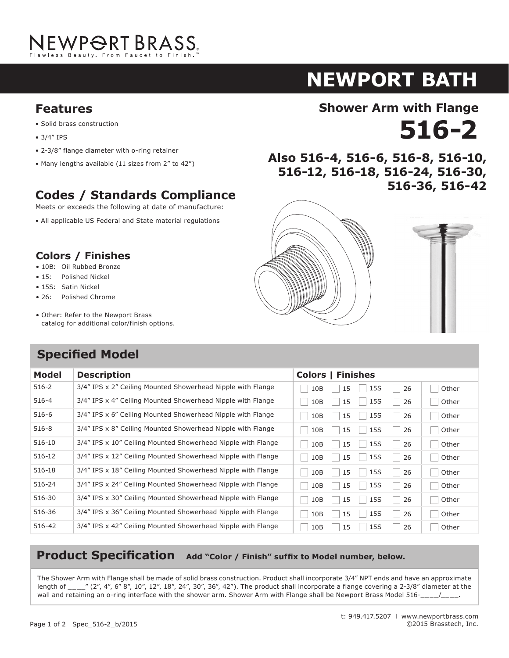

## **newport BATH NEWPORT B Shower Arm with Flange**

**516-36, 516-42 Also 516-4, 516-6, 516-8, 516-10,** 

### **Features Shower Arm with Flange**<br> **12 16. In the Shower Arm with Flange Features**  $\mathbf{S}$  brass construction brass construction brass construction brass construction brass construction brass construction brass construction brass construction brass construction brass construction brass construction bra

- Solid brass construction
- 3/4" IPS
- 2-3/8" flange diameter with o-ring retainer 2-3/8" flange diameter with o-ring retainer
- Many lengths available (11 sizes from 2" to 42") Many lengths available (11 sizes from 2" to 42")

## **Codes / Standards Compliance**

Meets or exceeds the following at date of manufacture:

• All applicable US Federal and State material regulations **Codes / Standards Compliance**

## **Colors / Finishes**

- 10B: Oil Rubbed Bronze
- 15: Polished Nickel
- 15S: Satin Nickel **Colors / Finishes**
	- 26: Polished Chrome
	- Other: Refer to the Newport Brass catalog for additional color/finish options.  $\bullet$  Ou

## **Specified Model**

| 516-12, 516-18, 516-24, |         |
|-------------------------|---------|
|                         | 516-36, |
|                         |         |
|                         |         |

**516-2 Also 516-4, 516-6, 516-8, 516-10,** 

**516-12, 516-18, 516-24, 516-30,** 





516-30, **516-36, 516-42**

| Model      | <b>Description</b>                                           | <b>Colors   Finishes</b>        |
|------------|--------------------------------------------------------------|---------------------------------|
| $516 - 2$  | 3/4" IPS x 2" Ceiling Mounted Showerhead Nipple with Flange  | 15S<br>10B<br>15<br>26<br>Other |
| $516 - 4$  | 3/4" IPS x 4" Ceiling Mounted Showerhead Nipple with Flange  | 15S<br>26<br>Other<br>10B<br>15 |
| $516 - 6$  | 3/4" IPS x 6" Ceiling Mounted Showerhead Nipple with Flange  | 15S<br>26<br>Other<br>10B<br>15 |
| $516 - 8$  | 3/4" IPS x 8" Ceiling Mounted Showerhead Nipple with Flange  | 15S<br>26<br>Other<br>10B<br>15 |
| $516 - 10$ | 3/4" IPS x 10" Ceiling Mounted Showerhead Nipple with Flange | 15S<br>26<br>Other<br>10B<br>15 |
| 516-12     | 3/4" IPS x 12" Ceiling Mounted Showerhead Nipple with Flange | 15S<br>26<br>10B<br>15<br>Other |
| 516-18     | 3/4" IPS x 18" Ceiling Mounted Showerhead Nipple with Flange | 15S<br>26<br>Other<br>10B<br>15 |
| 516-24     | 3/4" IPS x 24" Ceiling Mounted Showerhead Nipple with Flange | 15S<br>26<br>Other<br>10B<br>15 |
| 516-30     | 3/4" IPS x 30" Ceiling Mounted Showerhead Nipple with Flange | 15S<br>10B<br>26<br>Other<br>15 |
| 516-36     | 3/4" IPS x 36" Ceiling Mounted Showerhead Nipple with Flange | 15S<br>26<br>Other<br>10B<br>15 |
| 516-42     | 3/4" IPS x 42" Ceiling Mounted Showerhead Nipple with Flange | 15S<br>26<br>Other<br>10B<br>15 |

## **Product Specification** Add "Color / Finish" suffix to Model number, below.

516-36 3/4" IPS x 36" Ceiling Mounted Showerhead Nipple with Flange PN SN PC ORB Other

wall and retaining an o-ring interface with the shower Arm with Flange shall be Newport Brass Model 516-216-216-

The Shower Arm with Flange shall be made of solid brass construction. Product shall incorporate 3/4" NPT ends and have an approximate length of  $\frac{1}{2}$  (2", 4", 6" 8", 10", 12", 18", 24", 30", 36", 42"). The product shall incorporate a flange covering a 2-3/8" diameter at the wall and retaining an o-ring interface with the shower arm. Shower Arm with Flange shall be Newport Brass Model 516-\_\_\_\_/\_\_\_\_.